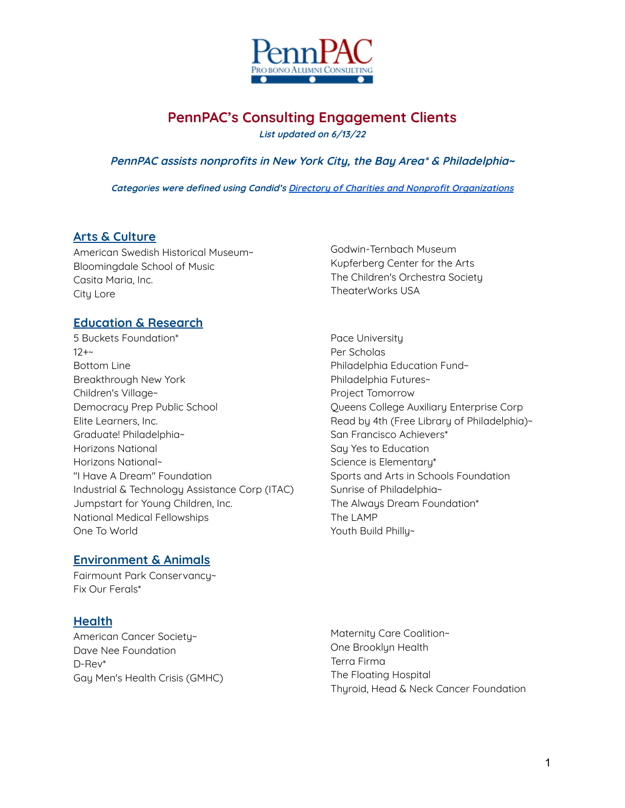

# **PennPAC's Consulting Engagement Clients**

**List updated on 6/13/22**

#### **PennPAC assists nonprofits in New York City, the Bay Area\* & Philadelphia~**

**Categories were defined using Candid's Directory of Charities and Nonprofit [Organizations](https://www.guidestar.org/NonprofitDirectory.aspx)**

#### **Arts & Culture**

American Swedish Historical Museum~ Bloomingdale School of Music Casita Maria, Inc. City Lore

#### **Education & Research**

- 5 Buckets Foundation\*  $12+$ Bottom Line Breakthrough New York Children's Village~ Democracy Prep Public School Elite Learners, Inc. Graduate! Philadelphia~ Horizons National Horizons National~ "I Have A Dream" Foundation Industrial & Technology Assistance Corp (ITAC) Jumpstart for Young Children, Inc. National Medical Fellowships One To World
- Godwin-Ternbach Museum Kupferberg Center for the Arts The Children's Orchestra Society TheaterWorks USA
- Pace University Per Scholas Philadelphia Education Fund~ Philadelphia Futures~ Project Tomorrow Queens College Auxiliary Enterprise Corp Read by 4th (Free Library of Philadelphia)~ San Francisco Achievers\* Say Yes to Education Science is Elementary\* Sports and Arts in Schools Foundation Sunrise of Philadelphia~ The Always Dream Foundation\* The LAMP Youth Build Philly~

#### **Environment & Animals**

Fairmount Park Conservancy~ Fix Our Ferals\*

#### **Health**

American Cancer Society~ Dave Nee Foundation D-Rev\* Gay Men's Health Crisis (GMHC) Maternity Care Coalition~ One Brooklyn Health Terra Firma The Floating Hospital Thyroid, Head & Neck Cancer Foundation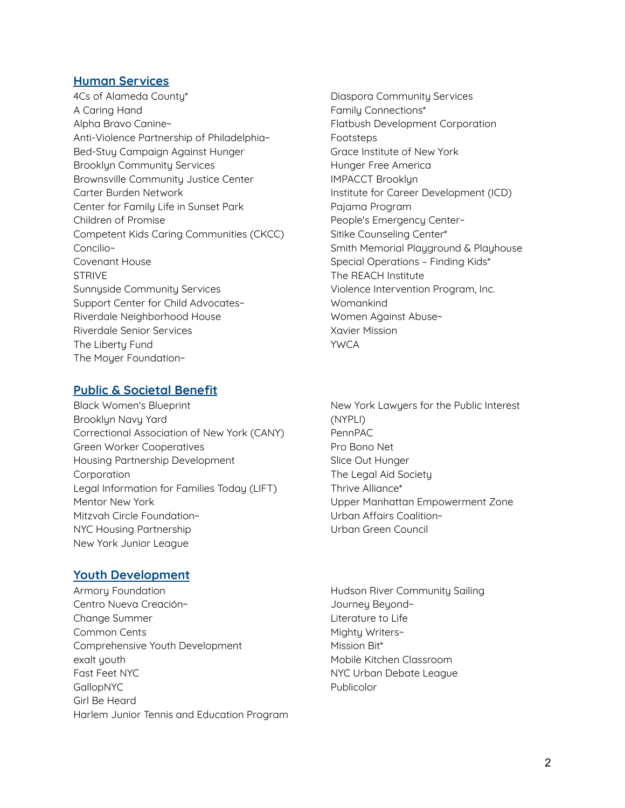#### **Human Services**

4Cs of Alameda County\* A Caring Hand Alpha Bravo Canine~ Anti-Violence Partnership of Philadelphia~ Bed-Stuy Campaign Against Hunger Brooklyn Community Services Brownsville Community Justice Center Carter Burden Network Center for Family Life in Sunset Park Children of Promise Competent Kids Caring Communities (CKCC) Concilio~ Covenant House STRIVE Sunnyside Community Services Support Center for Child Advocates~ Riverdale Neighborhood House Riverdale Senior Services The Liberty Fund The Moyer Foundation~

#### **Public & Societal Benefit**

- Black Women's Blueprint Brooklyn Navy Yard Correctional Association of New York (CANY) Green Worker Cooperatives Housing Partnership Development Corporation Legal Information for Families Today (LIFT) Mentor New York Mitzvah Circle Foundation~ NYC Housing Partnership New York Junior League
- Diaspora Community Services Family Connections\* Flatbush Development Corporation **Footsteps** Grace Institute of New York Hunger Free America IMPACCT Brooklyn Institute for Career Development (ICD) Pajama Program People's Emergency Center~ Sitike Counseling Center\* Smith Memorial Playground & Playhouse Special Operations – Finding Kids\* The REACH Institute Violence Intervention Program, Inc. Womankind Women Against Abuse~ Xavier Mission YWCA
- New York Lawyers for the Public Interest (NYPLI) PennPAC Pro Bono Net Slice Out Hunger The Legal Aid Society Thrive Alliance\* Upper Manhattan Empowerment Zone Urban Affairs Coalition~ Urban Green Council

### **Youth Development**

- Armoru Foundation Centro Nueva Creación~ Change Summer Common Cents Comprehensive Youth Development exalt youth Fast Feet NYC GallopNYC Girl Be Heard Harlem Junior Tennis and Education Program
- Hudson River Community Sailing Journey Beyond~ Literature to Life Mighty Writers~ Mission Bit\* Mobile Kitchen Classroom NYC Urban Debate League Publicolor